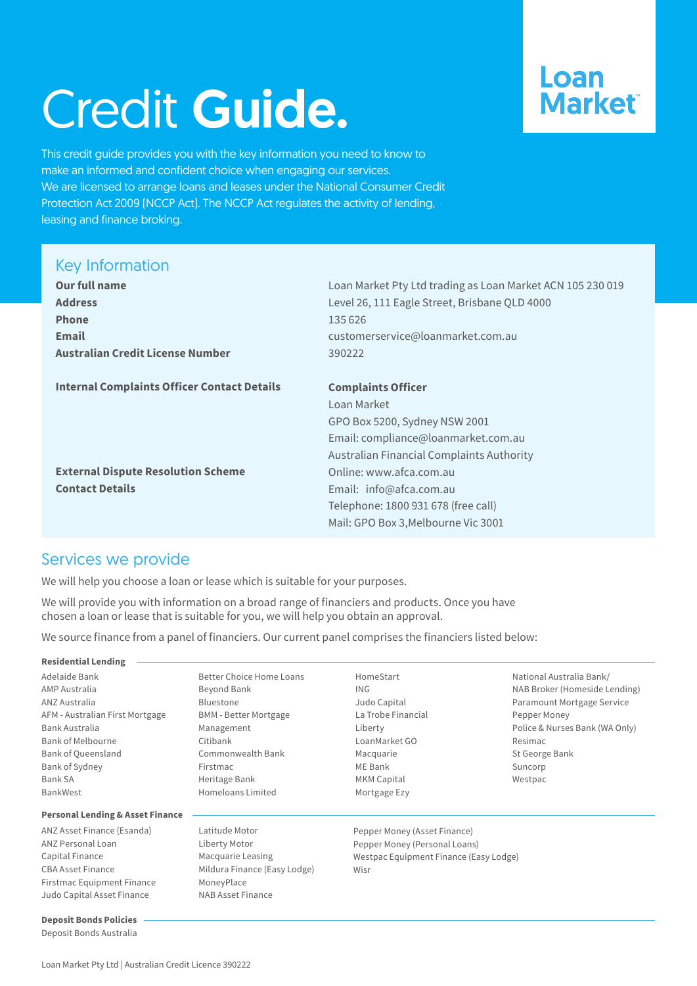# Credit Guide.

## Loan **Market**

This credit guide provides you with the key information you need to know to make an informed and confident choice when engaging our services. We are licensed to arrange loans and leases under the National Consumer Credit Protection Act 2009 (NCCP Act). The NCCP Act regulates the activity of lending, leasing and finance broking.

#### Key Information

| <b>Our full name</b>                               | Loan Market Pty Ltd trading as Loan Market ACN 105 230 019 |
|----------------------------------------------------|------------------------------------------------------------|
| <b>Address</b>                                     | Level 26, 111 Eagle Street, Brisbane QLD 4000              |
| <b>Phone</b>                                       | 135 626                                                    |
| <b>Email</b>                                       | customerservice@loanmarket.com.au                          |
| <b>Australian Credit License Number</b>            | 390222                                                     |
|                                                    |                                                            |
| <b>Internal Complaints Officer Contact Details</b> | <b>Complaints Officer</b>                                  |
|                                                    | Loan Market                                                |
|                                                    | GPO Box 5200, Sydney NSW 2001                              |
|                                                    | Email: compliance@loanmarket.com.au                        |
|                                                    | Australian Financial Complaints Authority                  |
| <b>External Dispute Resolution Scheme</b>          | Online: www.afca.com.au                                    |
| <b>Contact Details</b>                             | Email: info@afca.com.au                                    |
|                                                    | Telephone: 1800 931 678 (free call)                        |
|                                                    | Mail: GPO Box 3, Melbourne Vic 3001                        |
|                                                    |                                                            |

#### Services we provide

We will help you choose a loan or lease which is suitable for your purposes.

We will provide you with information on a broad range of financiers and products. Once you have chosen a loan or lease that is suitable for you, we will help you obtain an approval.

We source finance from a panel of financiers. Our current panel comprises the financiers listed below:

| <b>Residential Lending</b>                  |                                 |                                        |                                |
|---------------------------------------------|---------------------------------|----------------------------------------|--------------------------------|
|                                             |                                 |                                        |                                |
| Adelaide Bank                               | <b>Better Choice Home Loans</b> | HomeStart                              | National Australia Bank/       |
| AMP Australia                               | Beyond Bank                     | ING                                    | NAB Broker (Homeside Lending)  |
| ANZ Australia                               | <b>Bluestone</b>                | Judo Capital                           | Paramount Mortgage Service     |
| AFM - Australian First Mortgage             | <b>BMM</b> - Better Mortgage    | La Trobe Financial                     | Pepper Money                   |
| Bank Australia                              | Management                      | Liberty                                | Police & Nurses Bank (WA Only) |
| <b>Bank of Melbourne</b>                    | Citibank                        | LoanMarket GO                          | Resimac                        |
| <b>Bank of Queensland</b>                   | Commonwealth Bank               | Macquarie                              | St George Bank                 |
| Bank of Sydney                              | Firstmac                        | ME Bank                                | Suncorp                        |
| Bank SA                                     | Heritage Bank                   | MKM Capital                            | Westpac                        |
| <b>BankWest</b>                             | Homeloans Limited               | Mortgage Ezy                           |                                |
| <b>Personal Lending &amp; Asset Finance</b> |                                 |                                        |                                |
| ANZ Asset Finance (Esanda)                  | Latitude Motor                  | Pepper Money (Asset Finance)           |                                |
| ANZ Personal Loan                           | Liberty Motor                   | Pepper Money (Personal Loans)          |                                |
| Capital Finance                             | Macquarie Leasing               | Westpac Equipment Finance (Easy Lodge) |                                |
| <b>CBA Asset Finance</b>                    | Mildura Finance (Easy Lodge)    | Wisr                                   |                                |
| Firstmac Equipment Finance                  | MoneyPlace                      |                                        |                                |
| Judo Capital Asset Finance                  | NAB Asset Finance               |                                        |                                |

#### Loan Market Pty Ltd | Australian Credit Licence 390222

**Deposit Bonds Policies** Deposit Bonds Australia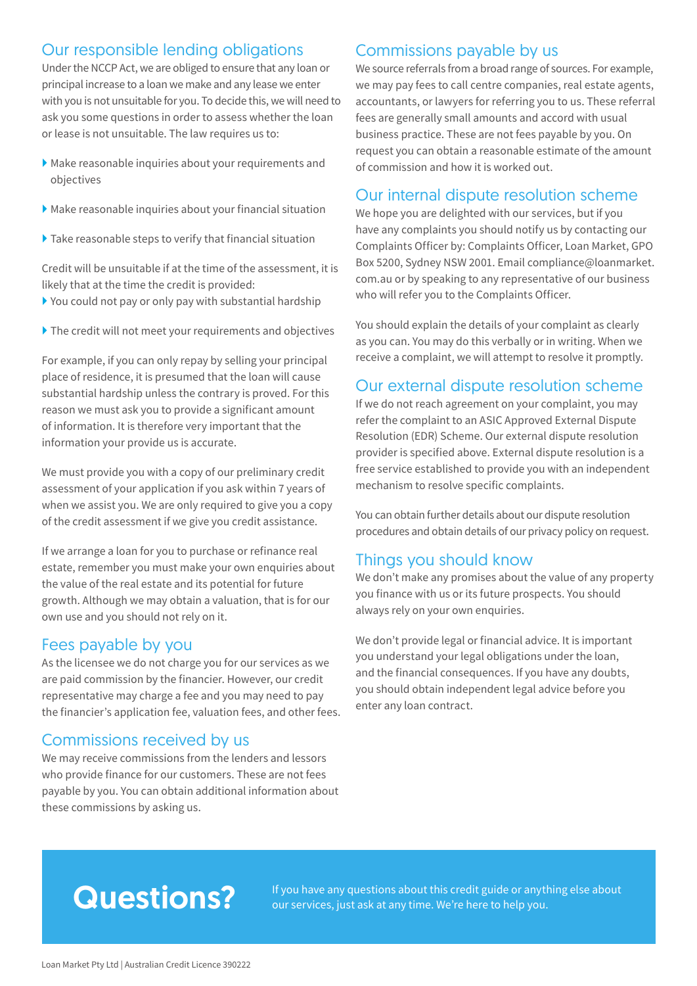#### Our responsible lending obligations

Under the NCCP Act, we are obliged to ensure that any loan or principal increase to a loan we make and any lease we enter with you is not unsuitable for you. To decide this, we will need to ask you some questions in order to assess whether the loan or lease is not unsuitable. The law requires us to:

- } Make reasonable inquiries about your requirements and objectives
- } Make reasonable inquiries about your financial situation
- $\blacktriangleright$  Take reasonable steps to verify that financial situation

Credit will be unsuitable if at the time of the assessment, it is likely that at the time the credit is provided:

- $\blacktriangleright$  You could not pay or only pay with substantial hardship
- } The credit will not meet your requirements and objectives

For example, if you can only repay by selling your principal place of residence, it is presumed that the loan will cause substantial hardship unless the contrary is proved. For this reason we must ask you to provide a significant amount of information. It is therefore very important that the information your provide us is accurate.

We must provide you with a copy of our preliminary credit assessment of your application if you ask within 7 years of when we assist you. We are only required to give you a copy of the credit assessment if we give you credit assistance.

If we arrange a loan for you to purchase or refinance real estate, remember you must make your own enquiries about the value of the real estate and its potential for future growth. Although we may obtain a valuation, that is for our own use and you should not rely on it.

#### Fees payable by you

As the licensee we do not charge you for our services as we are paid commission by the financier. However, our credit representative may charge a fee and you may need to pay the financier's application fee, valuation fees, and other fees.

#### Commissions received by us

We may receive commissions from the lenders and lessors who provide finance for our customers. These are not fees payable by you. You can obtain additional information about these commissions by asking us.

#### Commissions payable by us

We source referrals from a broad range of sources. For example, we may pay fees to call centre companies, real estate agents, accountants, or lawyers for referring you to us. These referral fees are generally small amounts and accord with usual business practice. These are not fees payable by you. On request you can obtain a reasonable estimate of the amount of commission and how it is worked out.

#### Our internal dispute resolution scheme

We hope you are delighted with our services, but if you have any complaints you should notify us by contacting our Complaints Officer by: Complaints Officer, Loan Market, GPO Box 5200, Sydney NSW 2001. Email compliance@loanmarket. com.au or by speaking to any representative of our business who will refer you to the Complaints Officer.

You should explain the details of your complaint as clearly as you can. You may do this verbally or in writing. When we receive a complaint, we will attempt to resolve it promptly.

#### Our external dispute resolution scheme

If we do not reach agreement on your complaint, you may refer the complaint to an ASIC Approved External Dispute Resolution (EDR) Scheme. Our external dispute resolution provider is specified above. External dispute resolution is a free service established to provide you with an independent mechanism to resolve specific complaints.

You can obtain further details about our dispute resolution procedures and obtain details of our privacy policy on request.

#### Things you should know

We don't make any promises about the value of any property you finance with us or its future prospects. You should always rely on your own enquiries.

We don't provide legal or financial advice. It is important you understand your legal obligations under the loan, and the financial consequences. If you have any doubts, you should obtain independent legal advice before you enter any loan contract.

**Questions?** If you have any questions about this credit guide or anything else about<br>our services just ask at any time. We're here to help you our services, just ask at any time. We're here to help you.